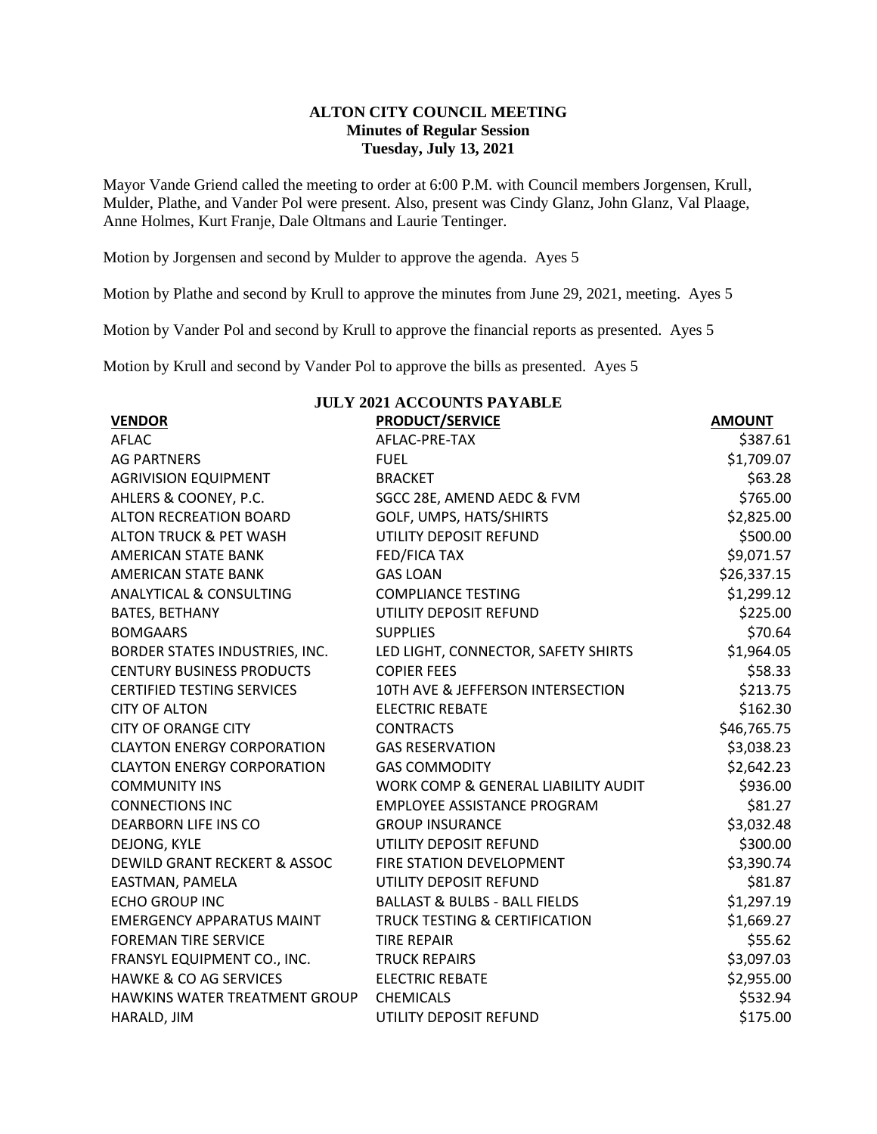## **ALTON CITY COUNCIL MEETING Minutes of Regular Session Tuesday, July 13, 2021**

Mayor Vande Griend called the meeting to order at 6:00 P.M. with Council members Jorgensen, Krull, Mulder, Plathe, and Vander Pol were present. Also, present was Cindy Glanz, John Glanz, Val Plaage, Anne Holmes, Kurt Franje, Dale Oltmans and Laurie Tentinger.

Motion by Jorgensen and second by Mulder to approve the agenda. Ayes 5

Motion by Plathe and second by Krull to approve the minutes from June 29, 2021, meeting. Ayes 5

Motion by Vander Pol and second by Krull to approve the financial reports as presented. Ayes 5

Motion by Krull and second by Vander Pol to approve the bills as presented. Ayes 5

| <b>JULY 2021 ACCOUNTS PAYABLE</b> |                                          |               |  |  |  |
|-----------------------------------|------------------------------------------|---------------|--|--|--|
| <b>VENDOR</b>                     | <b>PRODUCT/SERVICE</b>                   | <b>AMOUNT</b> |  |  |  |
| <b>AFLAC</b>                      | AFLAC-PRE-TAX                            | \$387.61      |  |  |  |
| <b>AG PARTNERS</b>                | <b>FUEL</b>                              | \$1,709.07    |  |  |  |
| <b>AGRIVISION EQUIPMENT</b>       | <b>BRACKET</b>                           | \$63.28       |  |  |  |
| AHLERS & COONEY, P.C.             | SGCC 28E, AMEND AEDC & FVM               | \$765.00      |  |  |  |
| <b>ALTON RECREATION BOARD</b>     | GOLF, UMPS, HATS/SHIRTS                  | \$2,825.00    |  |  |  |
| <b>ALTON TRUCK &amp; PET WASH</b> | UTILITY DEPOSIT REFUND                   | \$500.00      |  |  |  |
| AMERICAN STATE BANK               | <b>FED/FICA TAX</b>                      | \$9,071.57    |  |  |  |
| AMERICAN STATE BANK               | <b>GAS LOAN</b>                          | \$26,337.15   |  |  |  |
| ANALYTICAL & CONSULTING           | <b>COMPLIANCE TESTING</b>                | \$1,299.12    |  |  |  |
| <b>BATES, BETHANY</b>             | UTILITY DEPOSIT REFUND                   | \$225.00      |  |  |  |
| <b>BOMGAARS</b>                   | <b>SUPPLIES</b>                          | \$70.64       |  |  |  |
| BORDER STATES INDUSTRIES, INC.    | LED LIGHT, CONNECTOR, SAFETY SHIRTS      | \$1,964.05    |  |  |  |
| <b>CENTURY BUSINESS PRODUCTS</b>  | <b>COPIER FEES</b>                       | \$58.33       |  |  |  |
| <b>CERTIFIED TESTING SERVICES</b> | 10TH AVE & JEFFERSON INTERSECTION        | \$213.75      |  |  |  |
| <b>CITY OF ALTON</b>              | <b>ELECTRIC REBATE</b>                   | \$162.30      |  |  |  |
| <b>CITY OF ORANGE CITY</b>        | <b>CONTRACTS</b>                         | \$46,765.75   |  |  |  |
| <b>CLAYTON ENERGY CORPORATION</b> | <b>GAS RESERVATION</b>                   | \$3,038.23    |  |  |  |
| <b>CLAYTON ENERGY CORPORATION</b> | <b>GAS COMMODITY</b>                     | \$2,642.23    |  |  |  |
| <b>COMMUNITY INS</b>              | WORK COMP & GENERAL LIABILITY AUDIT      | \$936.00      |  |  |  |
| <b>CONNECTIONS INC</b>            | <b>EMPLOYEE ASSISTANCE PROGRAM</b>       | \$81.27       |  |  |  |
| <b>DEARBORN LIFE INS CO</b>       | <b>GROUP INSURANCE</b>                   | \$3,032.48    |  |  |  |
| DEJONG, KYLE                      | UTILITY DEPOSIT REFUND                   | \$300.00      |  |  |  |
| DEWILD GRANT RECKERT & ASSOC      | <b>FIRE STATION DEVELOPMENT</b>          | \$3,390.74    |  |  |  |
| EASTMAN, PAMELA                   | UTILITY DEPOSIT REFUND                   | \$81.87       |  |  |  |
| <b>ECHO GROUP INC</b>             | <b>BALLAST &amp; BULBS - BALL FIELDS</b> | \$1,297.19    |  |  |  |
| <b>EMERGENCY APPARATUS MAINT</b>  | <b>TRUCK TESTING &amp; CERTIFICATION</b> | \$1,669.27    |  |  |  |
| <b>FOREMAN TIRE SERVICE</b>       | <b>TIRE REPAIR</b>                       | \$55.62       |  |  |  |
| FRANSYL EQUIPMENT CO., INC.       | <b>TRUCK REPAIRS</b>                     | \$3,097.03    |  |  |  |
| <b>HAWKE &amp; CO AG SERVICES</b> | <b>ELECTRIC REBATE</b>                   | \$2,955.00    |  |  |  |
| HAWKINS WATER TREATMENT GROUP     | <b>CHEMICALS</b>                         | \$532.94      |  |  |  |
| HARALD, JIM                       | UTILITY DEPOSIT REFUND                   | \$175.00      |  |  |  |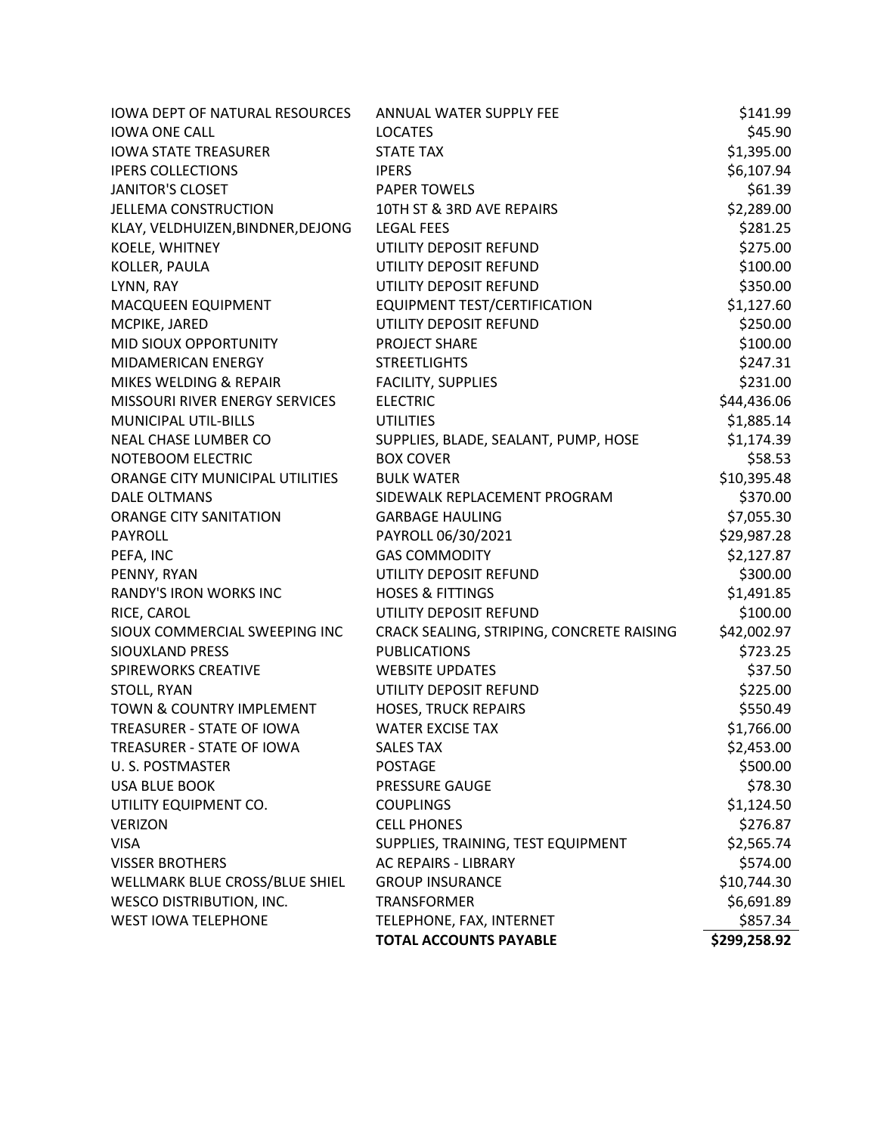|                                             | TELEPHONE, FAX, INTERNET                    | \$857.34             |
|---------------------------------------------|---------------------------------------------|----------------------|
| <b>WEST IOWA TELEPHONE</b>                  |                                             |                      |
| <b>WESCO DISTRIBUTION, INC.</b>             | <b>TRANSFORMER</b>                          | \$6,691.89           |
| WELLMARK BLUE CROSS/BLUE SHIEL              | <b>GROUP INSURANCE</b>                      | \$10,744.30          |
| <b>VISSER BROTHERS</b>                      | AC REPAIRS - LIBRARY                        | \$574.00             |
| <b>VISA</b>                                 | SUPPLIES, TRAINING, TEST EQUIPMENT          | \$2,565.74           |
| <b>VERIZON</b>                              | <b>CELL PHONES</b>                          | \$276.87             |
| UTILITY EQUIPMENT CO.                       | <b>COUPLINGS</b>                            | \$1,124.50           |
| <b>USA BLUE BOOK</b>                        | PRESSURE GAUGE                              | \$78.30              |
| U. S. POSTMASTER                            | <b>POSTAGE</b>                              | \$500.00             |
| TREASURER - STATE OF IOWA                   | <b>SALES TAX</b>                            | \$2,453.00           |
| TREASURER - STATE OF IOWA                   | <b>WATER EXCISE TAX</b>                     | \$1,766.00           |
| TOWN & COUNTRY IMPLEMENT                    | <b>HOSES, TRUCK REPAIRS</b>                 | \$550.49             |
| STOLL, RYAN                                 | UTILITY DEPOSIT REFUND                      | \$225.00             |
| <b>SPIREWORKS CREATIVE</b>                  | <b>WEBSITE UPDATES</b>                      | \$37.50              |
| SIOUXLAND PRESS                             | <b>PUBLICATIONS</b>                         | \$723.25             |
| SIOUX COMMERCIAL SWEEPING INC               | CRACK SEALING, STRIPING, CONCRETE RAISING   | \$42,002.97          |
| RICE, CAROL                                 | UTILITY DEPOSIT REFUND                      | \$100.00             |
| RANDY'S IRON WORKS INC                      | <b>HOSES &amp; FITTINGS</b>                 | \$1,491.85           |
| PENNY, RYAN                                 | UTILITY DEPOSIT REFUND                      | \$300.00             |
| PEFA, INC                                   | <b>GAS COMMODITY</b>                        | \$2,127.87           |
| PAYROLL                                     | PAYROLL 06/30/2021                          | \$29,987.28          |
| <b>ORANGE CITY SANITATION</b>               | <b>GARBAGE HAULING</b>                      | \$7,055.30           |
| <b>DALE OLTMANS</b>                         | SIDEWALK REPLACEMENT PROGRAM                | \$370.00             |
| ORANGE CITY MUNICIPAL UTILITIES             | <b>BULK WATER</b>                           | \$10,395.48          |
| NOTEBOOM ELECTRIC                           | <b>BOX COVER</b>                            | \$58.53              |
| NEAL CHASE LUMBER CO                        | SUPPLIES, BLADE, SEALANT, PUMP, HOSE        | \$1,174.39           |
| MUNICIPAL UTIL-BILLS                        | <b>UTILITIES</b>                            | \$1,885.14           |
| MISSOURI RIVER ENERGY SERVICES              | <b>ELECTRIC</b>                             | \$44,436.06          |
| MIKES WELDING & REPAIR                      | FACILITY, SUPPLIES                          | \$231.00             |
| MID SIOUX OPPORTUNITY<br>MIDAMERICAN ENERGY | <b>PROJECT SHARE</b><br><b>STREETLIGHTS</b> | \$100.00<br>\$247.31 |
| MCPIKE, JARED                               | UTILITY DEPOSIT REFUND                      | \$250.00             |
| MACQUEEN EQUIPMENT                          | EQUIPMENT TEST/CERTIFICATION                | \$1,127.60           |
| LYNN, RAY                                   | UTILITY DEPOSIT REFUND                      | \$350.00             |
| KOLLER, PAULA                               | UTILITY DEPOSIT REFUND                      | \$100.00             |
| KOELE, WHITNEY                              | UTILITY DEPOSIT REFUND                      | \$275.00             |
| KLAY, VELDHUIZEN, BINDNER, DEJONG           | <b>LEGAL FEES</b>                           | \$281.25             |
| <b>JELLEMA CONSTRUCTION</b>                 | 10TH ST & 3RD AVE REPAIRS                   | \$2,289.00           |
| <b>JANITOR'S CLOSET</b>                     | <b>PAPER TOWELS</b>                         | \$61.39              |
| <b>IPERS COLLECTIONS</b>                    | <b>IPERS</b>                                | \$6,107.94           |
| <b>IOWA STATE TREASURER</b>                 | <b>STATE TAX</b>                            | \$1,395.00           |
| <b>IOWA ONE CALL</b>                        | <b>LOCATES</b>                              | \$45.90              |
| <b>IOWA DEPT OF NATURAL RESOURCES</b>       | ANNUAL WATER SUPPLY FEE                     | \$141.99             |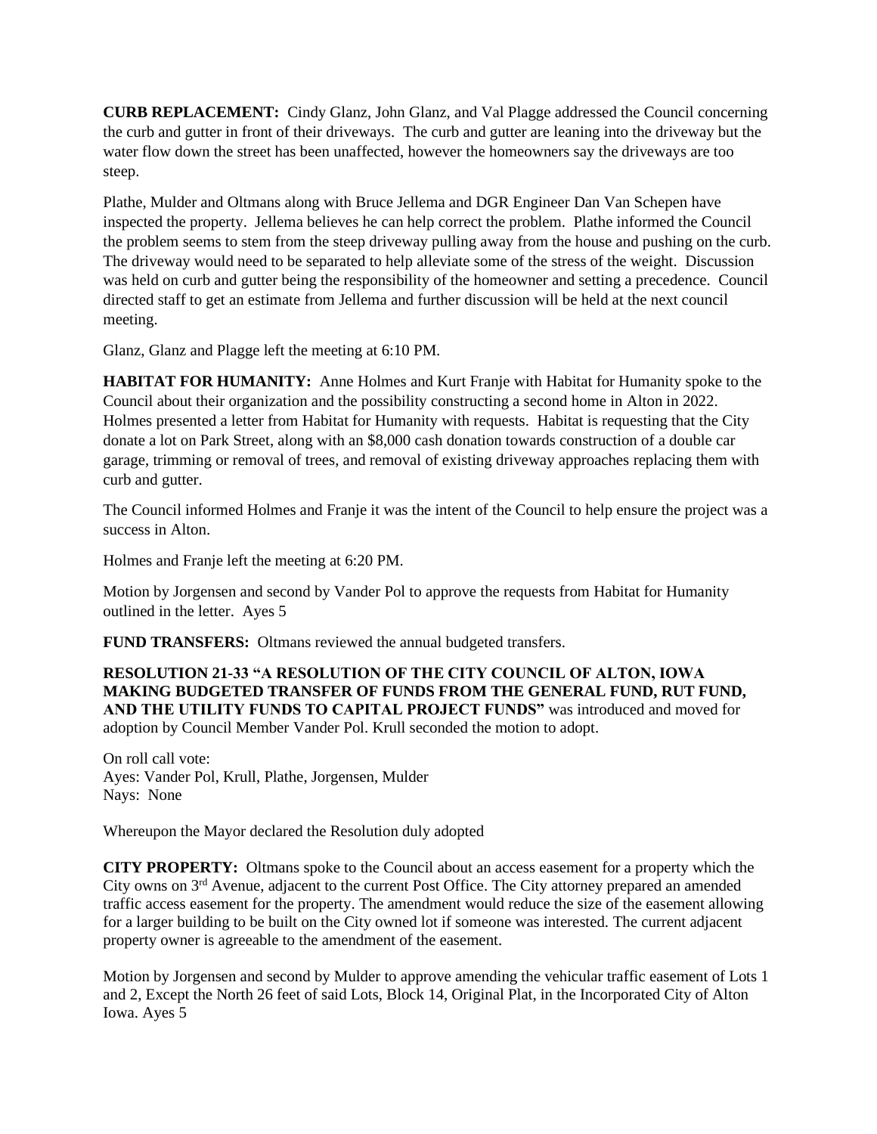**CURB REPLACEMENT:** Cindy Glanz, John Glanz, and Val Plagge addressed the Council concerning the curb and gutter in front of their driveways. The curb and gutter are leaning into the driveway but the water flow down the street has been unaffected, however the homeowners say the driveways are too steep.

Plathe, Mulder and Oltmans along with Bruce Jellema and DGR Engineer Dan Van Schepen have inspected the property. Jellema believes he can help correct the problem. Plathe informed the Council the problem seems to stem from the steep driveway pulling away from the house and pushing on the curb. The driveway would need to be separated to help alleviate some of the stress of the weight. Discussion was held on curb and gutter being the responsibility of the homeowner and setting a precedence. Council directed staff to get an estimate from Jellema and further discussion will be held at the next council meeting.

Glanz, Glanz and Plagge left the meeting at 6:10 PM.

**HABITAT FOR HUMANITY:** Anne Holmes and Kurt Franje with Habitat for Humanity spoke to the Council about their organization and the possibility constructing a second home in Alton in 2022. Holmes presented a letter from Habitat for Humanity with requests. Habitat is requesting that the City donate a lot on Park Street, along with an \$8,000 cash donation towards construction of a double car garage, trimming or removal of trees, and removal of existing driveway approaches replacing them with curb and gutter.

The Council informed Holmes and Franje it was the intent of the Council to help ensure the project was a success in Alton.

Holmes and Franje left the meeting at 6:20 PM.

Motion by Jorgensen and second by Vander Pol to approve the requests from Habitat for Humanity outlined in the letter. Ayes 5

**FUND TRANSFERS:** Oltmans reviewed the annual budgeted transfers.

**RESOLUTION 21-33 "A RESOLUTION OF THE CITY COUNCIL OF ALTON, IOWA MAKING BUDGETED TRANSFER OF FUNDS FROM THE GENERAL FUND, RUT FUND, AND THE UTILITY FUNDS TO CAPITAL PROJECT FUNDS"** was introduced and moved for adoption by Council Member Vander Pol. Krull seconded the motion to adopt.

On roll call vote: Ayes: Vander Pol, Krull, Plathe, Jorgensen, Mulder Nays: None

Whereupon the Mayor declared the Resolution duly adopted

**CITY PROPERTY:** Oltmans spoke to the Council about an access easement for a property which the City owns on 3rd Avenue, adjacent to the current Post Office. The City attorney prepared an amended traffic access easement for the property. The amendment would reduce the size of the easement allowing for a larger building to be built on the City owned lot if someone was interested. The current adjacent property owner is agreeable to the amendment of the easement.

Motion by Jorgensen and second by Mulder to approve amending the vehicular traffic easement of Lots 1 and 2, Except the North 26 feet of said Lots, Block 14, Original Plat, in the Incorporated City of Alton Iowa. Ayes 5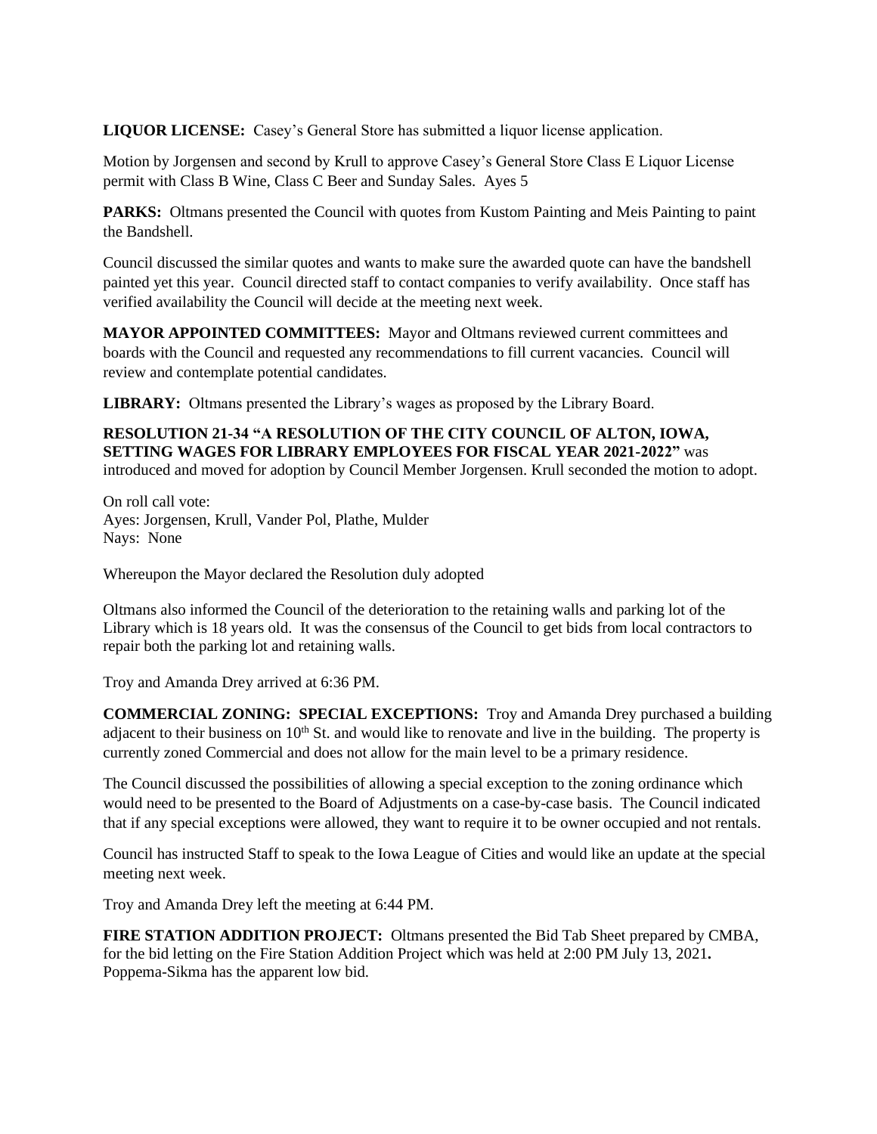**LIQUOR LICENSE:** Casey's General Store has submitted a liquor license application.

Motion by Jorgensen and second by Krull to approve Casey's General Store Class E Liquor License permit with Class B Wine, Class C Beer and Sunday Sales. Ayes 5

PARKS: Oltmans presented the Council with quotes from Kustom Painting and Meis Painting to paint the Bandshell.

Council discussed the similar quotes and wants to make sure the awarded quote can have the bandshell painted yet this year. Council directed staff to contact companies to verify availability. Once staff has verified availability the Council will decide at the meeting next week.

**MAYOR APPOINTED COMMITTEES:** Mayor and Oltmans reviewed current committees and boards with the Council and requested any recommendations to fill current vacancies. Council will review and contemplate potential candidates.

**LIBRARY:** Oltmans presented the Library's wages as proposed by the Library Board.

## **RESOLUTION 21-34 "A RESOLUTION OF THE CITY COUNCIL OF ALTON, IOWA, SETTING WAGES FOR LIBRARY EMPLOYEES FOR FISCAL YEAR 2021-2022"** was introduced and moved for adoption by Council Member Jorgensen. Krull seconded the motion to adopt.

On roll call vote: Ayes: Jorgensen, Krull, Vander Pol, Plathe, Mulder Nays: None

Whereupon the Mayor declared the Resolution duly adopted

Oltmans also informed the Council of the deterioration to the retaining walls and parking lot of the Library which is 18 years old. It was the consensus of the Council to get bids from local contractors to repair both the parking lot and retaining walls.

Troy and Amanda Drey arrived at 6:36 PM.

**COMMERCIAL ZONING: SPECIAL EXCEPTIONS:** Troy and Amanda Drey purchased a building adjacent to their business on  $10<sup>th</sup>$  St. and would like to renovate and live in the building. The property is currently zoned Commercial and does not allow for the main level to be a primary residence.

The Council discussed the possibilities of allowing a special exception to the zoning ordinance which would need to be presented to the Board of Adjustments on a case-by-case basis. The Council indicated that if any special exceptions were allowed, they want to require it to be owner occupied and not rentals.

Council has instructed Staff to speak to the Iowa League of Cities and would like an update at the special meeting next week.

Troy and Amanda Drey left the meeting at 6:44 PM.

**FIRE STATION ADDITION PROJECT:** Oltmans presented the Bid Tab Sheet prepared by CMBA, for the bid letting on the Fire Station Addition Project which was held at 2:00 PM July 13, 2021**.**  Poppema-Sikma has the apparent low bid.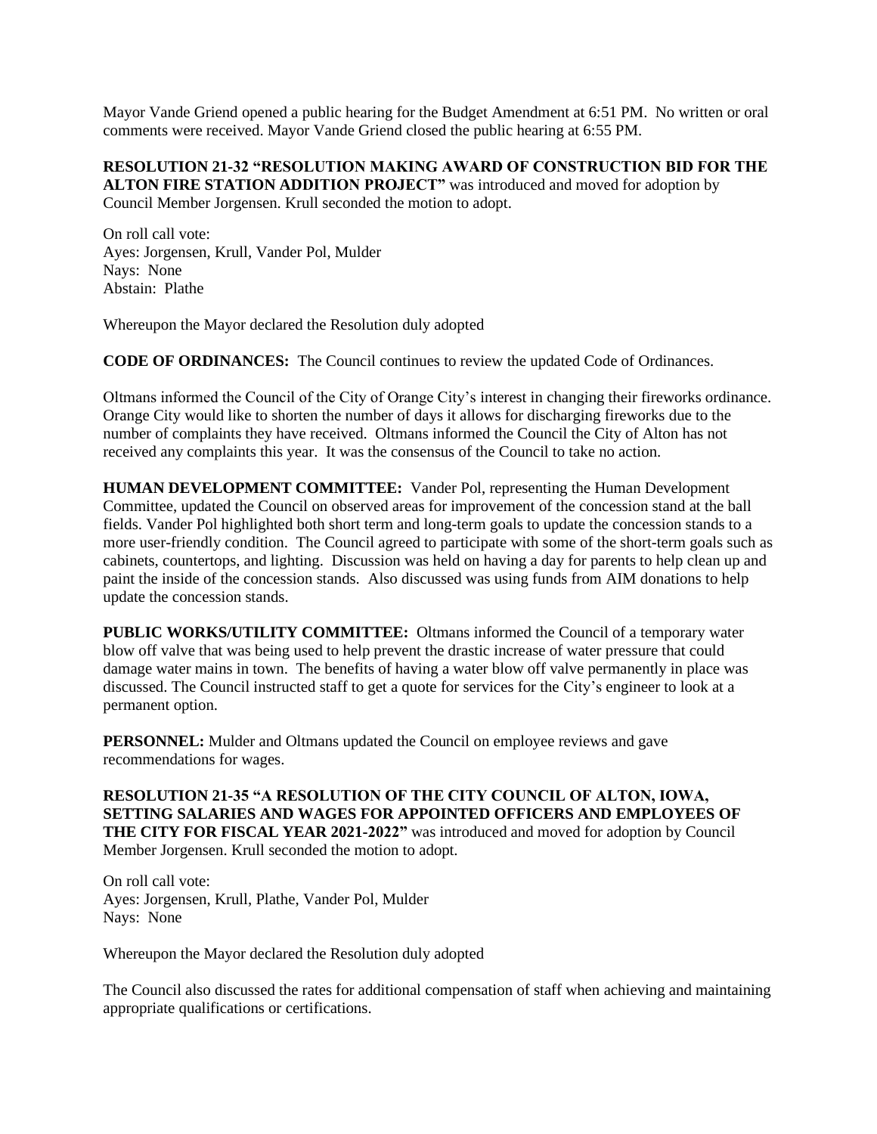Mayor Vande Griend opened a public hearing for the Budget Amendment at 6:51 PM. No written or oral comments were received. Mayor Vande Griend closed the public hearing at 6:55 PM.

## **RESOLUTION 21-32 "RESOLUTION MAKING AWARD OF CONSTRUCTION BID FOR THE**

**ALTON FIRE STATION ADDITION PROJECT"** was introduced and moved for adoption by Council Member Jorgensen. Krull seconded the motion to adopt.

On roll call vote: Ayes: Jorgensen, Krull, Vander Pol, Mulder Nays: None Abstain: Plathe

Whereupon the Mayor declared the Resolution duly adopted

**CODE OF ORDINANCES:** The Council continues to review the updated Code of Ordinances.

Oltmans informed the Council of the City of Orange City's interest in changing their fireworks ordinance. Orange City would like to shorten the number of days it allows for discharging fireworks due to the number of complaints they have received. Oltmans informed the Council the City of Alton has not received any complaints this year. It was the consensus of the Council to take no action.

**HUMAN DEVELOPMENT COMMITTEE:** Vander Pol, representing the Human Development Committee, updated the Council on observed areas for improvement of the concession stand at the ball fields. Vander Pol highlighted both short term and long-term goals to update the concession stands to a more user-friendly condition. The Council agreed to participate with some of the short-term goals such as cabinets, countertops, and lighting. Discussion was held on having a day for parents to help clean up and paint the inside of the concession stands. Also discussed was using funds from AIM donations to help update the concession stands.

**PUBLIC WORKS/UTILITY COMMITTEE:** Oltmans informed the Council of a temporary water blow off valve that was being used to help prevent the drastic increase of water pressure that could damage water mains in town. The benefits of having a water blow off valve permanently in place was discussed. The Council instructed staff to get a quote for services for the City's engineer to look at a permanent option.

**PERSONNEL:** Mulder and Oltmans updated the Council on employee reviews and gave recommendations for wages.

**RESOLUTION 21-35 "A RESOLUTION OF THE CITY COUNCIL OF ALTON, IOWA, SETTING SALARIES AND WAGES FOR APPOINTED OFFICERS AND EMPLOYEES OF THE CITY FOR FISCAL YEAR 2021-2022"** was introduced and moved for adoption by Council Member Jorgensen. Krull seconded the motion to adopt.

On roll call vote: Ayes: Jorgensen, Krull, Plathe, Vander Pol, Mulder Nays: None

Whereupon the Mayor declared the Resolution duly adopted

The Council also discussed the rates for additional compensation of staff when achieving and maintaining appropriate qualifications or certifications.